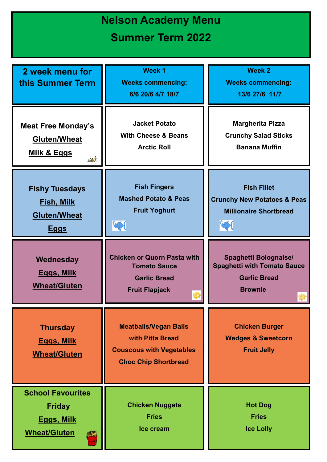## **Nelson Academy Menu Summer Term 2022**

| 2 week menu for<br>this Summer Term                                                   | <b>Week 1</b><br><b>Weeks commencing:</b><br>6/6 20/6 4/7 18/7                                                     | Week 2<br><b>Weeks commencing:</b><br>13/6 27/6 11/7                                                             |
|---------------------------------------------------------------------------------------|--------------------------------------------------------------------------------------------------------------------|------------------------------------------------------------------------------------------------------------------|
| <b>Meat Free Monday's</b><br><b>Gluten/Wheat</b><br><u>Milk &amp; Eggs</u><br>MAK     | <b>Jacket Potato</b><br><b>With Cheese &amp; Beans</b><br><b>Arctic Roll</b>                                       | <b>Margherita Pizza</b><br><b>Crunchy Salad Sticks</b><br><b>Banana Muffin</b>                                   |
| <b>Fishy Tuesdays</b><br><u>Fish, Milk</u><br><b>Gluten/Wheat</b><br><u>Eggs</u>      | <b>Fish Fingers</b><br><b>Mashed Potato &amp; Peas</b><br><b>Fruit Yoghurt</b>                                     | <b>Fish Fillet</b><br><b>Crunchy New Potatoes &amp; Peas</b><br><b>Millionaire Shortbread</b><br>$ \mathcal{D} $ |
| Wednesday<br><u>Eggs, Milk</u><br><b>Wheat/Gluten</b>                                 | <b>Chicken or Quorn Pasta with</b><br><b>Tomato Sauce</b><br><b>Garlic Bread</b><br><b>Fruit Flapjack</b>          | <b>Spaghetti Bolognaise/</b><br><b>Spaghetti with Tomato Sauce</b><br><b>Garlic Bread</b><br><b>Brownie</b>      |
| <b>Thursday</b><br><b>Eggs, Milk</b><br><b>Wheat/Gluten</b>                           | <b>Meatballs/Vegan Balls</b><br>with Pitta Bread<br><b>Couscous with Vegetables</b><br><b>Choc Chip Shortbread</b> | <b>Chicken Burger</b><br><b>Wedges &amp; Sweetcorn</b><br><b>Fruit Jelly</b>                                     |
| <b>School Favourites</b><br><b>Friday</b><br><b>Eggs, Milk</b><br><b>Wheat/Gluten</b> | <b>Chicken Nuggets</b><br><b>Fries</b><br>Ice cream                                                                | <b>Hot Dog</b><br><b>Fries</b><br><b>Ice Lolly</b>                                                               |